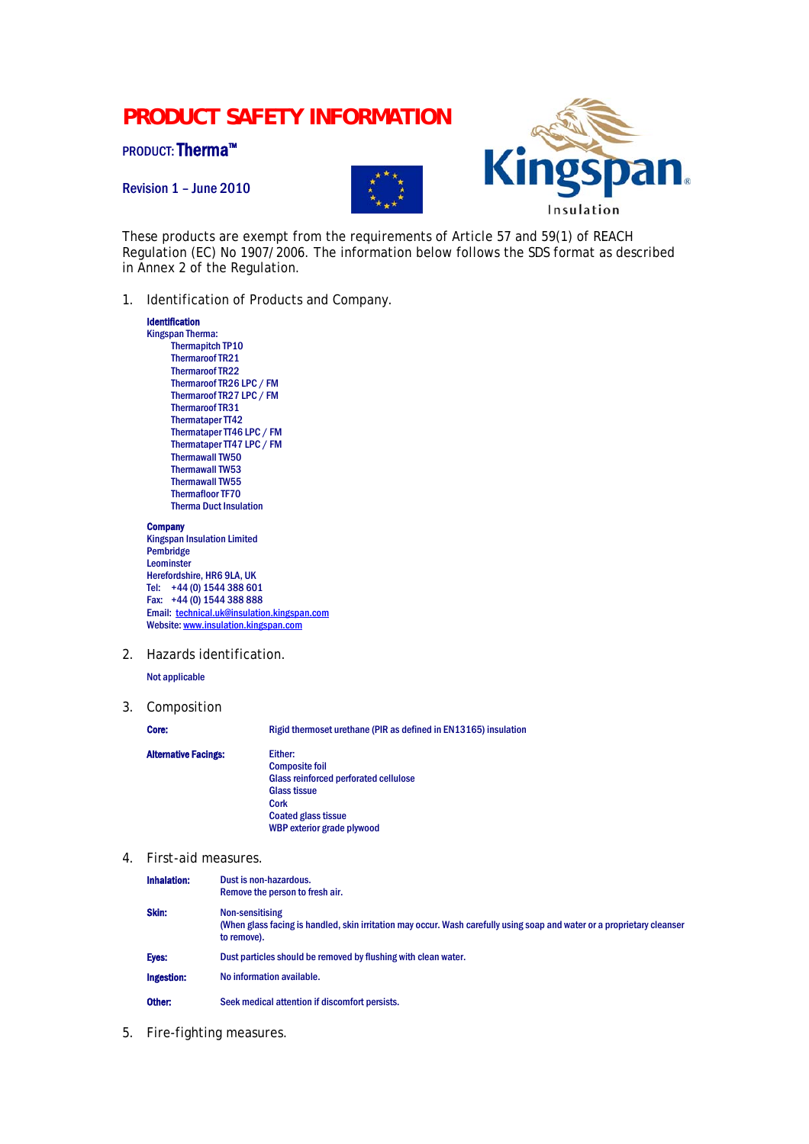# **PRODUCT SAFETY INFORMATION**

PRODUCT: Therma™

Revision 1 – June 2010





These products are exempt from the requirements of Article 57 and 59(1) of REACH Regulation (EC) No 1907/2006. The information below follows the SDS format as described in Annex 2 of the Regulation.

1. Identification of Products and Company.

## Identification

Kingspan Therma: Thermapitch TP10 Thermaroof TR21 Thermaroof TR22 Thermaroof TR26 LPC / FM Thermaroof TR27 LPC / FM Thermaroof TR31 Thermataper TT42 Thermataper TT46 LPC / FM Thermataper TT47 LPC / FM Thermawall TW50 Thermawall TW53 Thermawall TW55 Thermafloor TF70 Therma Duct Insulation

### **Company**

Kingspan Insulation Limited Pembridge Leominster Herefordshire, HR6 9LA, UK Tel: +44 (0) 1544 388 601 Fax: +44 (0) 1544 388 888 Email: [technical.uk@insulation.kingspan.com](mailto:technical.uk@insulation.kingspan.com) Website: [www.insulation.kingspan.com](http://www.insulation.kingspan.com/)

2. Hazards identification.

Not applicable

3. Composition

Core: Rigid thermoset urethane (PIR as defined in EN13165) insulation

## Alternative Facings: Either:

Composite foil Glass reinforced perforated cellulose Glass tissue Cork Coated glass tissue WBP exterior grade plywood

4. First-aid measures.

| Inhalation:       | Dust is non-hazardous.<br>Remove the person to fresh air.                                                                                                 |  |
|-------------------|-----------------------------------------------------------------------------------------------------------------------------------------------------------|--|
| Skin:             | Non-sensitising<br>(When glass facing is handled, skin irritation may occur. Wash carefully using soap and water or a proprietary cleanser<br>to remove). |  |
| Eyes:             | Dust particles should be removed by flushing with clean water.                                                                                            |  |
| <b>Ingestion:</b> | No information available.                                                                                                                                 |  |
| Other:            | Seek medical attention if discomfort persists.                                                                                                            |  |

5. Fire-fighting measures.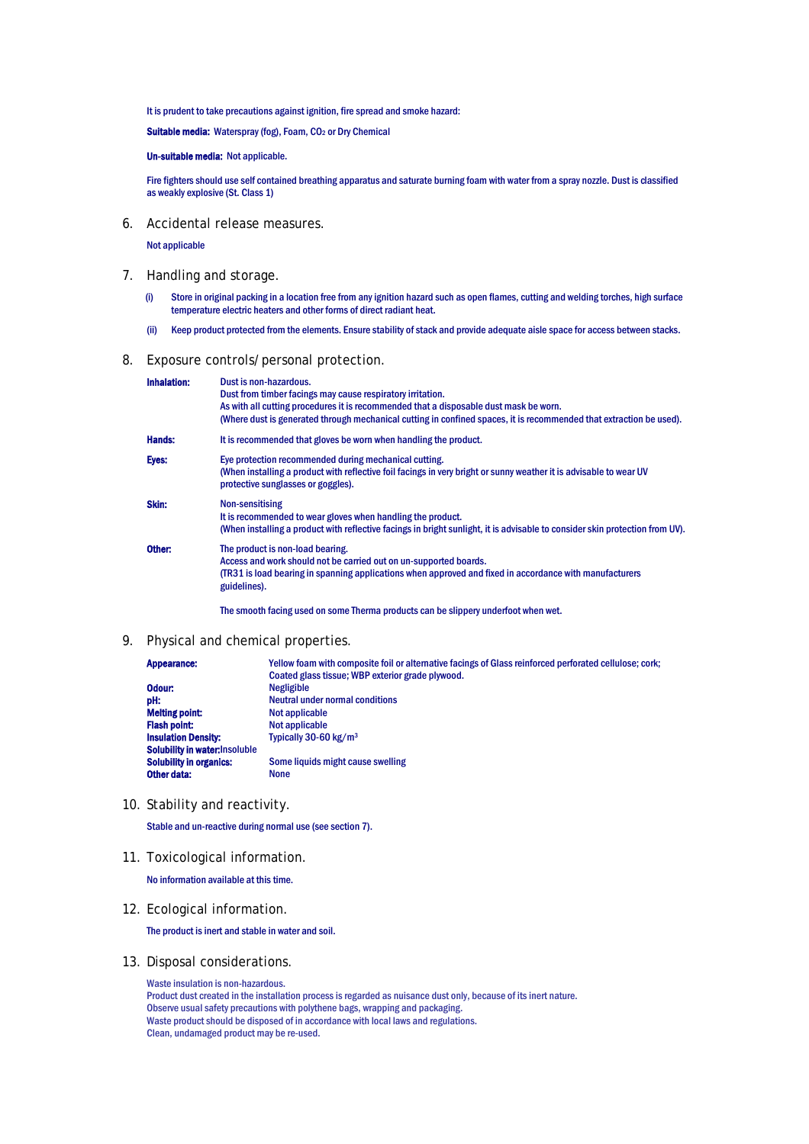It is prudent to take precautions against ignition, fire spread and smoke hazard:

Suitable media: Waterspray (fog), Foam, CO<sub>2</sub> or Dry Chemical

#### Un-suitable media: Not applicable.

Fire fighters should use self contained breathing apparatus and saturate burning foam with water from a spray nozzle. Dust is classified as weakly explosive (St. Class 1)

6. Accidental release measures.

Not applicable

- 7. Handling and storage.
	- (i) Store in original packing in a location free from any ignition hazard such as open flames, cutting and welding torches, high surface temperature electric heaters and other forms of direct radiant heat.
	- (ii) Keep product protected from the elements. Ensure stability of stack and provide adequate aisle space for access between stacks.
- 8. Exposure controls/personal protection.

| <b>Inhalation:</b> | Dust is non-hazardous.<br>Dust from timber facings may cause respiratory irritation.<br>As with all cutting procedures it is recommended that a disposable dust mask be worn.<br>(Where dust is generated through mechanical cutting in confined spaces, it is recommended that extraction be used). |  |
|--------------------|------------------------------------------------------------------------------------------------------------------------------------------------------------------------------------------------------------------------------------------------------------------------------------------------------|--|
| <b>Hands:</b>      | It is recommended that gloves be worn when handling the product.                                                                                                                                                                                                                                     |  |
| Eyes:              | Eye protection recommended during mechanical cutting.<br>(When installing a product with reflective foil facings in very bright or sunny weather it is advisable to wear UV<br>protective sunglasses or goggles).                                                                                    |  |
| Skin:              | <b>Non-sensitising</b><br>It is recommended to wear gloves when handling the product.<br>(When installing a product with reflective facings in bright sunlight, it is advisable to consider skin protection from UV).                                                                                |  |
| Other:             | The product is non-load bearing.<br>Access and work should not be carried out on un-supported boards.<br>(TR31 is load bearing in spanning applications when approved and fixed in accordance with manufacturers<br>guidelines).                                                                     |  |
|                    | The smooth facing used on some Therma products can be slippery underfoot when wet.                                                                                                                                                                                                                   |  |

9. Physical and chemical properties.

| Appearance:                    | Yellow foam with composite foil or alternative facings of Glass reinforced perforated cellulose; cork; |
|--------------------------------|--------------------------------------------------------------------------------------------------------|
|                                | Coated glass tissue; WBP exterior grade plywood.                                                       |
| Odour:                         | <b>Negligible</b>                                                                                      |
| pH:                            | <b>Neutral under normal conditions</b>                                                                 |
| <b>Melting point:</b>          | Not applicable                                                                                         |
| <b>Flash point:</b>            | Not applicable                                                                                         |
| <b>Insulation Density:</b>     | Typically 30-60 kg/m <sup>3</sup>                                                                      |
| Solubility in water: Insoluble |                                                                                                        |
| <b>Solubility in organics:</b> | Some liquids might cause swelling                                                                      |
| Other data:                    | <b>None</b>                                                                                            |

10. Stability and reactivity.

Stable and un-reactive during normal use (see section 7).

11. Toxicological information.

No information available at this time.

12. Ecological information.

The product is inert and stable in water and soil.

13. Disposal considerations.

Waste insulation is non-hazardous. Product dust created in the installation process is regarded as nuisance dust only, because of its inert nature. Observe usual safety precautions with polythene bags, wrapping and packaging. Waste product should be disposed of in accordance with local laws and regulations. Clean, undamaged product may be re-used.